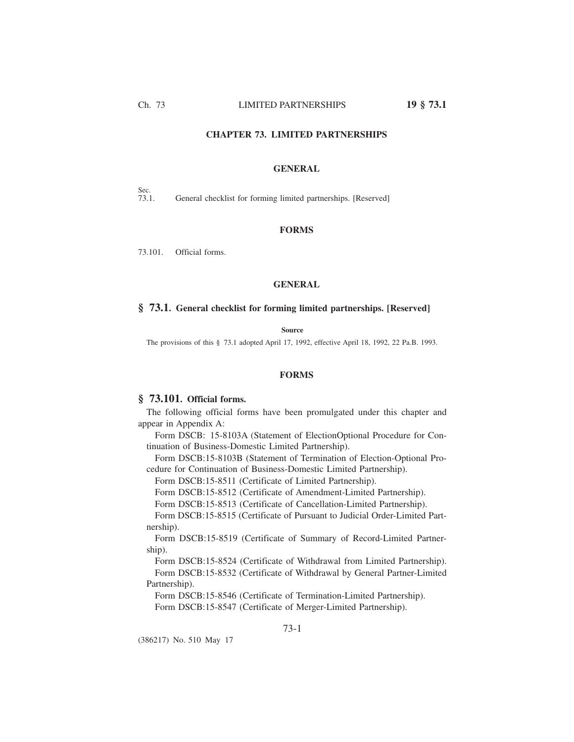### **CHAPTER 73. LIMITED PARTNERSHIPS**

### **GENERAL**

Sec.<br>73.1.

General checklist for forming limited partnerships. [Reserved]

### **FORMS**

73.101. Official forms.

### **GENERAL**

## **§ 73.1. General checklist for forming limited partnerships. [Reserved]**

#### **Source**

The provisions of this § 73.1 adopted April 17, 1992, effective April 18, 1992, 22 Pa.B. 1993.

#### **FORMS**

# **§ 73.101. Official forms.**

The following official forms have been promulgated under this chapter and appear in Appendix A:

Form DSCB: 15-8103A (Statement of ElectionOptional Procedure for Continuation of Business-Domestic Limited Partnership).

Form DSCB:15-8103B (Statement of Termination of Election-Optional Procedure for Continuation of Business-Domestic Limited Partnership).

Form DSCB:15-8511 (Certificate of Limited Partnership).

Form DSCB:15-8512 (Certificate of Amendment-Limited Partnership).

Form DSCB:15-8513 (Certificate of Cancellation-Limited Partnership).

Form DSCB:15-8515 (Certificate of Pursuant to Judicial Order-Limited Partnership).

Form DSCB:15-8519 (Certificate of Summary of Record-Limited Partnership).

Form DSCB:15-8524 (Certificate of Withdrawal from Limited Partnership). Form DSCB:15-8532 (Certificate of Withdrawal by General Partner-Limited

Partnership).

Form DSCB:15-8546 (Certificate of Termination-Limited Partnership).

Form DSCB:15-8547 (Certificate of Merger-Limited Partnership).

(386217) No. 510 May 17